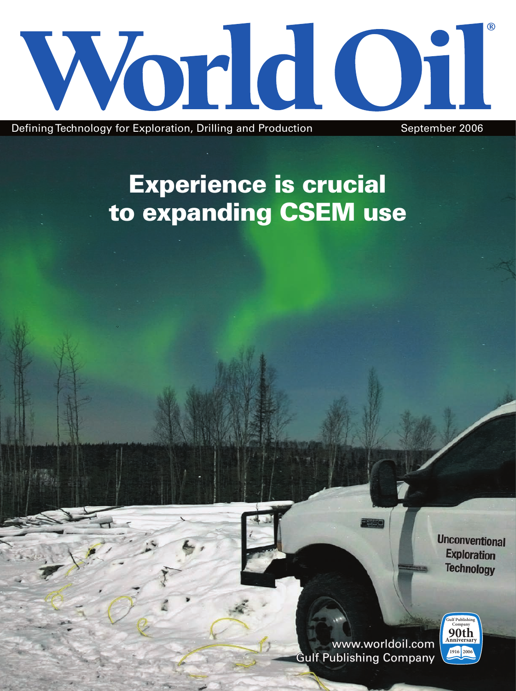

Defining Technology for Exploration, Drilling and Production September 2006

# Experience is crucial to expanding CSEM use

**Unconventional Exploration Technology** 



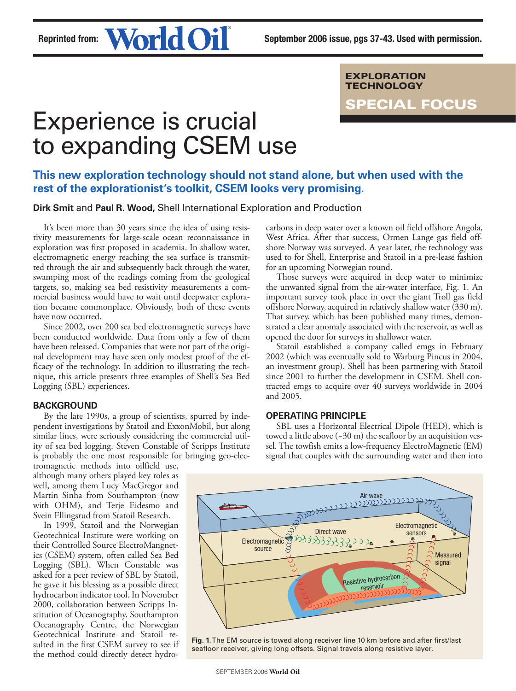EXPLORATION TECHNOLOGY

Special Focus

# Experience is crucial to expanding CSEM use

# **This new exploration technology should not stand alone, but when used with the rest of the explorationist's toolkit, CSEM looks very promising.**

**Dirk Smit** and **Paul R. Wood,** Shell International Exploration and Production

It's been more than 30 years since the idea of using resistivity measurements for large-scale ocean reconnaissance in exploration was first proposed in academia. In shallow water, electromagnetic energy reaching the sea surface is transmitted through the air and subsequently back through the water, swamping most of the readings coming from the geological targets, so, making sea bed resistivity measurements a commercial business would have to wait until deepwater exploration became commonplace. Obviously, both of these events have now occurred.

Since 2002, over 200 sea bed electromagnetic surveys have been conducted worldwide. Data from only a few of them have been released. Companies that were not part of the original development may have seen only modest proof of the efficacy of the technology. In addition to illustrating the technique, this article presents three examples of Shell's Sea Bed Logging (SBL) experiences.

## **BACKGROUND**

By the late 1990s, a group of scientists, spurred by independent investigations by Statoil and ExxonMobil, but along similar lines, were seriously considering the commercial utility of sea bed logging. Steven Constable of Scripps Institute is probably the one most responsible for bringing geo-elec-

tromagnetic methods into oilfield use, although many others played key roles as well, among them Lucy MacGregor and Martin Sinha from Southampton (now with OHM), and Terje Eidesmo and Svein Ellingsrud from Statoil Research.

In 1999, Statoil and the Norwegian Geotechnical Institute were working on their Controlled Source ElectroMangnetics (CSEM) system, often called Sea Bed Logging (SBL). When Constable was asked for a peer review of SBL by Statoil, he gave it his blessing as a possible direct hydrocarbon indicator tool. In November 2000, collaboration between Scripps Institution of Oceanography, Southampton Oceanography Centre, the Norwegian Geotechnical Institute and Statoil resulted in the first CSEM survey to see if the method could directly detect hydrocarbons in deep water over a known oil field offshore Angola, West Africa. After that success, Ormen Lange gas field offshore Norway was surveyed. A year later, the technology was used to for Shell, Enterprise and Statoil in a pre-lease fashion for an upcoming Norwegian round.

Those surveys were acquired in deep water to minimize the unwanted signal from the air-water interface, Fig. 1. An important survey took place in over the giant Troll gas field offshore Norway, acquired in relatively shallow water (330 m). That survey, which has been published many times, demonstrated a clear anomaly associated with the reservoir, as well as opened the door for surveys in shallower water.

Statoil established a company called emgs in February 2002 (which was eventually sold to Warburg Pincus in 2004, an investment group). Shell has been partnering with Statoil since 2001 to further the development in CSEM. Shell contracted emgs to acquire over 40 surveys worldwide in 2004 and 2005.

## **OPERATING PRINCIPLE**

SBL uses a Horizontal Electrical Dipole (HED), which is towed a little above  $(-30 \text{ m})$  the seafloor by an acquisition vessel. The towfish emits a low-frequency ElectroMagnetic (EM) signal that couples with the surrounding water and then into



**Fig. 1.** The EM source is towed along receiver line 10 km before and after first/last seafloor receiver, giving long offsets. Signal travels along resistive layer.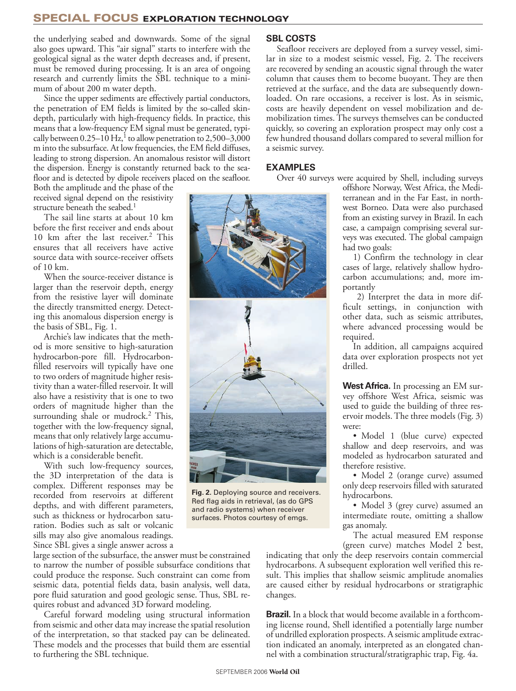# SPECIAL FOCUS EXPLORATION TECHNOLOGY

the underlying seabed and downwards. Some of the signal also goes upward. This "air signal" starts to interfere with the geological signal as the water depth decreases and, if present, must be removed during processing. It is an area of ongoing research and currently limits the SBL technique to a minimum of about 200 m water depth.

Since the upper sediments are effectively partial conductors, the penetration of EM fields is limited by the so-called skindepth, particularly with high-frequency fields. In practice, this means that a low-frequency EM signal must be generated, typically between  $0.25-10$  Hz,<sup>1</sup> to allow penetration to  $2,500-3,000$ m into the subsurface. At low frequencies, the EM field diffuses, leading to strong dispersion. An anomalous resistor will distort the dispersion. Energy is constantly returned back to the seafloor and is detected by dipole receivers placed on the seafloor.

Both the amplitude and the phase of the received signal depend on the resistivity structure beneath the seabed.<sup>1</sup>

The sail line starts at about 10 km before the first receiver and ends about 10 km after the last receiver.<sup>2</sup> This ensures that all receivers have active source data with source-receiver offsets of 10 km.

When the source-receiver distance is larger than the reservoir depth, energy from the resistive layer will dominate the directly transmitted energy. Detecting this anomalous dispersion energy is the basis of SBL, Fig. 1.

Archie's law indicates that the method is more sensitive to high-saturation hydrocarbon-pore fill. Hydrocarbonfilled reservoirs will typically have one to two orders of magnitude higher resistivity than a water-filled reservoir. It will also have a resistivity that is one to two orders of magnitude higher than the surrounding shale or mudrock.<sup>2</sup> This, together with the low-frequency signal, means that only relatively large accumulations of high-saturation are detectable, which is a considerable benefit.

With such low-frequency sources, the 3D interpretation of the data is complex. Different responses may be recorded from reservoirs at different depths, and with different parameters, such as thickness or hydrocarbon saturation. Bodies such as salt or volcanic sills may also give anomalous readings. Since SBL gives a single answer across a

large section of the subsurface, the answer must be constrained to narrow the number of possible subsurface conditions that could produce the response. Such constraint can come from seismic data, potential fields data, basin analysis, well data, pore fluid saturation and good geologic sense. Thus, SBL requires robust and advanced 3D forward modeling.

Careful forward modeling using structural information from seismic and other data may increase the spatial resolution of the interpretation, so that stacked pay can be delineated. These models and the processes that build them are essential to furthering the SBL technique.

#### **SBL COSTS**

Seafloor receivers are deployed from a survey vessel, similar in size to a modest seismic vessel, Fig. 2. The receivers are recovered by sending an acoustic signal through the water column that causes them to become buoyant. They are then retrieved at the surface, and the data are subsequently downloaded. On rare occasions, a receiver is lost. As in seismic, costs are heavily dependent on vessel mobilization and demobilization times. The surveys themselves can be conducted quickly, so covering an exploration prospect may only cost a few hundred thousand dollars compared to several million for a seismic survey.

### **EXAMPLES**

Over 40 surveys were acquired by Shell, including surveys



**Fig. 2.** Deploying source and receivers. Red flag aids in retrieval, (as do GPS and radio systems) when receiver surfaces. Photos courtesy of emgs.

offshore Norway, West Africa, the Mediterranean and in the Far East, in northwest Borneo. Data were also purchased from an existing survey in Brazil. In each case, a campaign comprising several surveys was executed. The global campaign had two goals:

1) Confirm the technology in clear cases of large, relatively shallow hydrocarbon accumulations; and, more importantly

 2) Interpret the data in more difficult settings, in conjunction with other data, such as seismic attributes, where advanced processing would be required.

In addition, all campaigns acquired data over exploration prospects not yet drilled.

**West Africa.** In processing an EM survey offshore West Africa, seismic was used to guide the building of three reservoir models. The three models (Fig. 3) were:

• Model 1 (blue curve) expected shallow and deep reservoirs, and was modeled as hydrocarbon saturated and therefore resistive.

• Model 2 (orange curve) assumed only deep reservoirs filled with saturated hydrocarbons.

• Model 3 (grey curve) assumed an intermediate route, omitting a shallow gas anomaly.

The actual measured EM response (green curve) matches Model 2 best,

indicating that only the deep reservoirs contain commercial hydrocarbons. A subsequent exploration well verified this result. This implies that shallow seismic amplitude anomalies are caused either by residual hydrocarbons or stratigraphic changes.

**Brazil.** In a block that would become available in a forthcoming license round, Shell identified a potentially large number of undrilled exploration prospects. A seismic amplitude extraction indicated an anomaly, interpreted as an elongated channel with a combination structural/stratigraphic trap, Fig. 4a.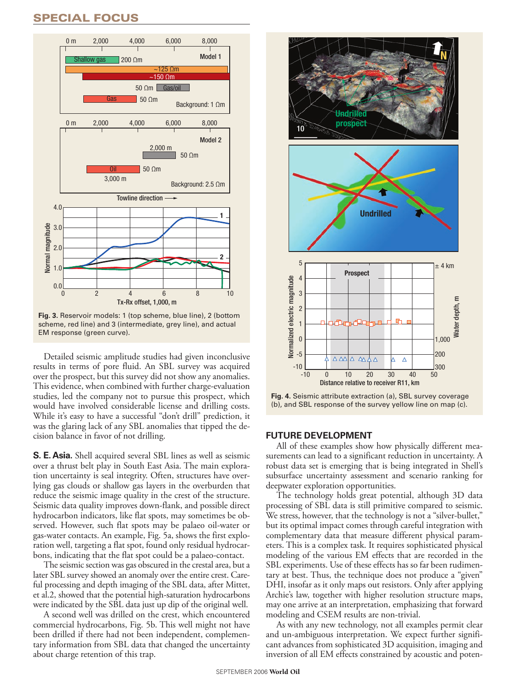# SPECIAL FOCuS



scheme, red line) and 3 (intermediate, grey line), and actual EM response (green curve).

Detailed seismic amplitude studies had given inconclusive results in terms of pore fluid. An SBL survey was acquired over the prospect, but this survey did not show any anomalies. This evidence, when combined with further charge-evaluation studies, led the company not to pursue this prospect, which would have involved considerable license and drilling costs. While it's easy to have a successful "don't drill" prediction, it was the glaring lack of any SBL anomalies that tipped the decision balance in favor of not drilling.

**S. E. Asia.** Shell acquired several SBL lines as well as seismic over a thrust belt play in South East Asia. The main exploration uncertainty is seal integrity. Often, structures have overlying gas clouds or shallow gas layers in the overburden that reduce the seismic image quality in the crest of the structure. Seismic data quality improves down-flank, and possible direct hydrocarbon indicators, like flat spots, may sometimes be observed. However, such flat spots may be palaeo oil-water or gas-water contacts. An example, Fig. 5a, shows the first exploration well, targeting a flat spot, found only residual hydrocarbons, indicating that the flat spot could be a palaeo-contact.

The seismic section was gas obscured in the crestal area, but a later SBL survey showed an anomaly over the entire crest. Careful processing and depth imaging of the SBL data, after Mittet, et al.2, showed that the potential high-saturation hydrocarbons were indicated by the SBL data just up dip of the original well.

A second well was drilled on the crest, which encountered commercial hydrocarbons, Fig. 5b. This well might not have been drilled if there had not been independent, complementary information from SBL data that changed the uncertainty about charge retention of this trap.



**Fig. 4.** Seismic attribute extraction (a), SBL survey coverage (b), and SBL response of the survey yellow line on map (c).

## **FUTURE DEVELOPMENT**

All of these examples show how physically different measurements can lead to a significant reduction in uncertainty. A robust data set is emerging that is being integrated in Shell's subsurface uncertainty assessment and scenario ranking for deepwater exploration opportunities.

The technology holds great potential, although 3D data processing of SBL data is still primitive compared to seismic. We stress, however, that the technology is not a "silver-bullet," but its optimal impact comes through careful integration with complementary data that measure different physical parameters. This is a complex task. It requires sophisticated physical modeling of the various EM effects that are recorded in the SBL experiments. Use of these effects has so far been rudimentary at best. Thus, the technique does not produce a "given" DHI, insofar as it only maps out resistors. Only after applying Archie's law, together with higher resolution structure maps, may one arrive at an interpretation, emphasizing that forward modeling and CSEM results are non-trivial.

As with any new technology, not all examples permit clear and un-ambiguous interpretation. We expect further significant advances from sophisticated 3D acquisition, imaging and inversion of all EM effects constrained by acoustic and poten-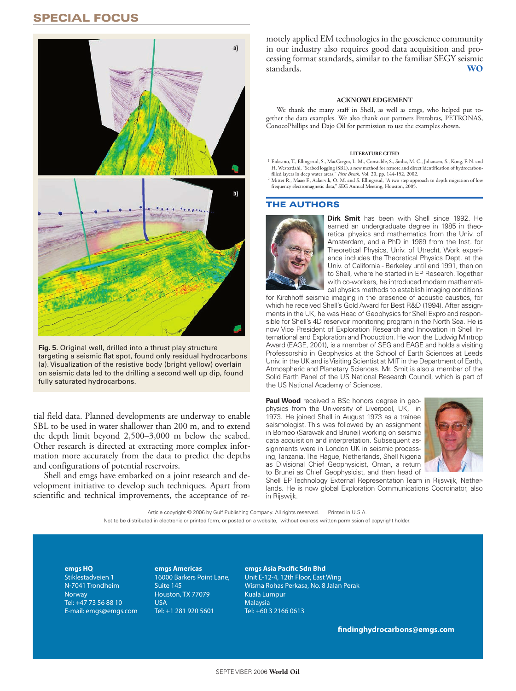# SPECIAL FOCuS



**Fig. 5.** Original well, drilled into a thrust play structure targeting a seismic flat spot, found only residual hydrocarbons (a). Visualization of the resistive body (bright yellow) overlain on seismic data led to the drilling a second well up dip, found fully saturated hydrocarbons.

tial field data. Planned developments are underway to enable SBL to be used in water shallower than 200 m, and to extend the depth limit beyond 2,500–3,000 m below the seabed. Other research is directed at extracting more complex information more accurately from the data to predict the depths and configurations of potential reservoirs.

Shell and emgs have embarked on a joint research and development initiative to develop such techniques. Apart from scientific and technical improvements, the acceptance of re-

motely applied EM technologies in the geoscience community in our industry also requires good data acquisition and processing format standards, similar to the familiar SEGY seismic standards. WO

#### **ACKNOWI FDGEMENT**

We thank the many staff in Shell, as well as emgs, who helped put together the data examples. We also thank our partners Petrobras, PETRONAS, ConocoPhillips and Dajo Oil for permission to use the examples shown.

#### **LITERATURE CITED**

<sup>1</sup> Eidesmo, T., Ellingsrud, S., MacGregor, L. M., Constable, S., Sinha, M. C., Johansen, S., Kong, F. N. and H. Westerdahl, "Seabed logging (SBL), a new method for remote and direct identification of hydrocarbon-

- filled layers in deep water areas," *First Break,* Vol. 20, pp. 144-152, 2002.<br><sup>2</sup> Mittet R., Maaø F., Aakervik, O. M. and S. Ellingsrud, "A two step approach to depth migration of low<br>- frequency electromagnetic data,"

#### THE AuTHORS



**Dirk Smit** has been with Shell since 1992. He earned an undergraduate degree in 1985 in theoretical physics and mathematics from the Univ. of Amsterdam, and a PhD in 1989 from the Inst. for Theoretical Physics, Univ. of Utrecht. Work experience includes the Theoretical Physics Dept. at the Univ. of California - Berkeley until end 1991, then on to Shell, where he started in EP Research. Together with co-workers, he introduced modern mathematical physics methods to establish imaging conditions

for Kirchhoff seismic imaging in the presence of acoustic caustics, for which he received Shell's Gold Award for Best R&D (1994). After assignments in the UK, he was Head of Geophysics for Shell Expro and responsible for Shell's 4D reservoir monitoring program in the North Sea. He is now Vice President of Exploration Research and Innovation in Shell International and Exploration and Production. He won the Ludwig Mintrop Award (EAGE, 2001), is a member of SEG and EAGE and holds a visiting Professorship in Geophysics at the School of Earth Sciences at Leeds Univ. in the UK and is Visiting Scientist at MIT in the Department of Earth, Atmospheric and Planetary Sciences. Mr. Smit is also a member of the Solid Earth Panel of the US National Research Council, which is part of the US National Academy of Sciences.

**Paul Wood** received a BSc honors degree in geophysics from the University of Liverpool, UK, in 1973. He joined Shell in August 1973 as a trainee seismologist. This was followed by an assignment in Borneo (Sarawak and Brunei) working on seismic data acquisition and interpretation. Subsequent assignments were in London UK in seismic processing, Tanzania, The Hague, Netherlands, Shell Nigeria as Divisional Chief Geophysicist, Oman, a return to Brunei as Chief Geophysicist, and then head of



Shell EP Technology External Representation Team in Rijswijk, Netherlands. He is now global Exploration Communications Coordinator, also in Rijswijk.

Article copyright © 2006 by Gulf Publishing Company. All rights reserved. Printed in U.S.A. Not to be distributed in electronic or printed form, or posted on a website, without express written permission of copyright holder.

**emgs HQ** Stiklestadveien 1 N-7041 Trondheim Norway Tel: +47 73 56 88 10 E-mail: emgs@emgs.com **emgs Americas** 16000 Barkers Point Lane, Suite 145 Houston, TX 77079 USA Tel: +1 281 920 5601

**emgs Asia Pacific Sdn Bhd** Unit E-12-4, 12th Floor, East Wing Wisma Rohas Perkasa, No. 8 Jalan Perak Kuala Lumpur Malaysia Tel: +60 3 2166 0613

**findinghydrocarbons@emgs.com**